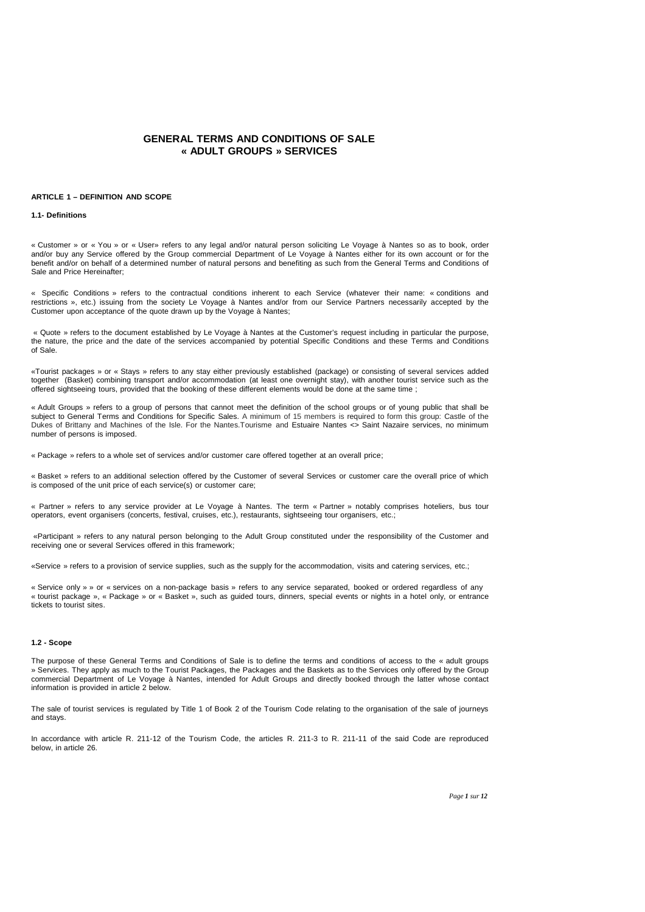# **GENERAL TERMS AND CONDITIONS OF SALE « ADULT GROUPS » SERVICES**

### **ARTICLE 1 – DEFINITION AND SCOPE**

#### **1.1- Definitions**

« Customer » or « You » or « User» refers to any legal and/or natural person soliciting Le Voyage à Nantes so as to book, order and/or buy any Service offered by the Group commercial Department of Le Voyage à Nantes either for its own account or for the benefit and/or on behalf of a determined number of natural persons and benefiting as such from the General Terms and Conditions of Sale and Price Hereinafter;

« Specific Conditions » refers to the contractual conditions inherent to each Service (whatever their name: « conditions and restrictions », etc.) issuing from the society Le Voyage à Nantes and/or from our Service Partners necessarily accepted by the Customer upon acceptance of the quote drawn up by the Voyage à Nantes;

« Quote » refers to the document established by Le Voyage à Nantes at the Customer's request including in particular the purpose, the nature, the price and the date of the services accompanied by potential Specific Conditions and these Terms and Conditions of Sale.

«Tourist packages » or « Stays » refers to any stay either previously established (package) or consisting of several services added together (Basket) combining transport and/or accommodation (at least one overnight stay), with another tourist service such as the offered sightseeing tours, provided that the booking of these different elements would be done at the same time ;

« Adult Groups » refers to a group of persons that cannot meet the definition of the school groups or of young public that shall be subject to General Terms and Conditions for Specific Sales. A minimum of 15 members is required to form this group: Castle of the Dukes of Brittany and Machines of the Isle. For the Nantes.Tourisme and Estuaire Nantes <> Saint Nazaire services, no minimum number of persons is imposed.

« Package » refers to a whole set of services and/or customer care offered together at an overall price;

« Basket » refers to an additional selection offered by the Customer of several Services or customer care the overall price of which is composed of the unit price of each service(s) or customer care;

« Partner » refers to any service provider at Le Voyage à Nantes. The term « Partner » notably comprises hoteliers, bus tour operators, event organisers (concerts, festival, cruises, etc.), restaurants, sightseeing tour organisers, etc.;

«Participant » refers to any natural person belonging to the Adult Group constituted under the responsibility of the Customer and receiving one or several Services offered in this framework;

«Service » refers to a provision of service supplies, such as the supply for the accommodation, visits and catering services, etc.;

« Service only » » or « services on a non-package basis » refers to any service separated, booked or ordered regardless of any « tourist package », « Package » or « Basket », such as guided tours, dinners, special events or nights in a hotel only, or entrance tickets to tourist sites.

#### **1.2 - Scope**

The purpose of these General Terms and Conditions of Sale is to define the terms and conditions of access to the « adult groups » Services. They apply as much to the Tourist Packages, the Packages and the Baskets as to the Services only offered by the Group commercial Department of Le Voyage à Nantes, intended for Adult Groups and directly booked through the latter whose contact information is provided in article 2 below.

The sale of tourist services is regulated by Title 1 of Book 2 of the Tourism Code relating to the organisation of the sale of journeys and stays.

In accordance with article R. 211-12 of the Tourism Code, the articles R. 211-3 to R. 211-11 of the said Code are reproduced below, in article 26.

*Page 1 sur 12*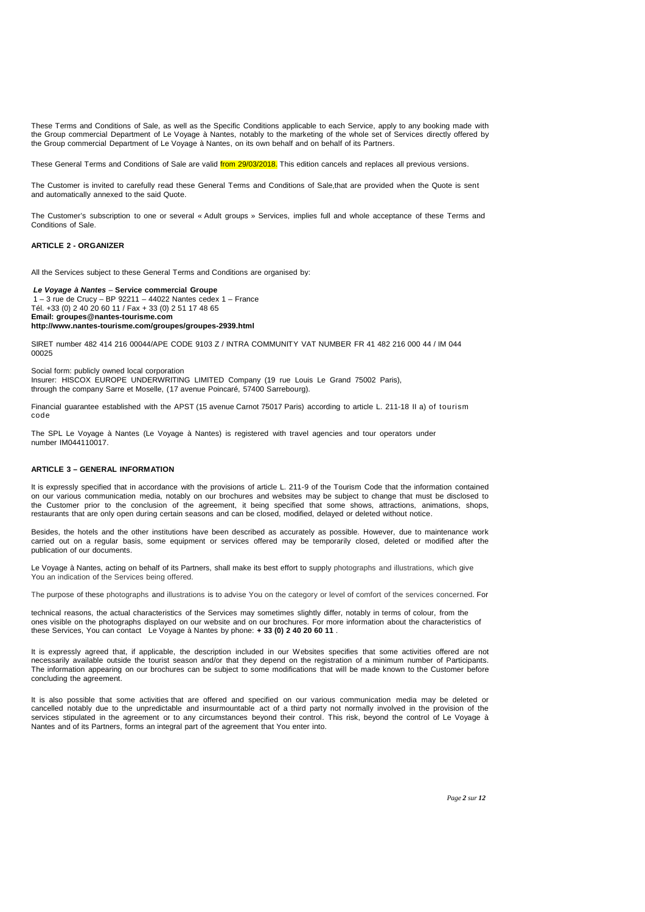These Terms and Conditions of Sale, as well as the Specific Conditions applicable to each Service, apply to any booking made with the Group commercial Department of Le Voyage à Nantes, notably to the marketing of the whole set of Services directly offered by the Group commercial Department of Le Voyage à Nantes, on its own behalf and on behalf of its Partners.

These General Terms and Conditions of Sale are valid *from 29/03/2018*. This edition cancels and replaces all previous versions.

The Customer is invited to carefully read these General Terms and Conditions of Sale,that are provided when the Quote is sent and automatically annexed to the said Quote.

The Customer's subscription to one or several « Adult groups » Services, implies full and whole acceptance of these Terms and Conditions of Sale.

# **ARTICLE 2 - ORGANIZER**

All the Services subject to these General Terms and Conditions are organised by:

**Le Voyage à Nantes** – **Service commercial Groupe** 1 – 3 rue de Crucy – BP 92211 – 44022 Nantes cedex 1 – France Tél. +33 (0) 2 40 20 60 11 / Fax + 33 (0) 2 51 17 48 65 **Email: groupes@nantes-tourisme.com http://www.nantes-tourisme.com/groupes/groupes-2939.html**

SIRET number 482 414 216 00044/APE CODE 9103 Z / INTRA COMMUNITY VAT NUMBER FR 41 482 216 000 44 / IM 044 00025

Social form: publicly owned local corporation

Insurer: HISCOX EUROPE UNDERWRITING LIMITED Company (19 rue Louis Le Grand 75002 Paris), through the company Sarre et Moselle, (17 avenue Poincaré, 57400 Sarrebourg).

Financial guarantee established with the APST (15 avenue Carnot 75017 Paris) according to article L. 211-18 II a) of tourism code

The SPL Le Voyage à Nantes (Le Voyage à Nantes) is registered with travel agencies and tour operators under number IM044110017.

# **ARTICLE 3 – GENERAL INFORMATION**

It is expressly specified that in accordance with the provisions of article L. 211-9 of the Tourism Code that the information contained on our various communication media, notably on our brochures and websites may be subject to change that must be disclosed to the Customer prior to the conclusion of the agreement, it being specified that some shows, attractions, animations, shops, restaurants that are only open during certain seasons and can be closed, modified, delayed or deleted without notice.

Besides, the hotels and the other institutions have been described as accurately as possible. However, due to maintenance work carried out on a regular basis, some equipment or services offered may be temporarily closed, deleted or modified after the publication of our documents.

Le Voyage à Nantes, acting on behalf of its Partners, shall make its best effort to supply photographs and illustrations, which give You an indication of the Services being offered.

The purpose of these photographs and illustrations is to advise You on the category or level of comfort of the services concerned. For

technical reasons, the actual characteristics of the Services may sometimes slightly differ, notably in terms of colour, from the ones visible on the photographs displayed on our website and on our brochures. For more information about the characteristics of these Services, You can contact Le Voyage à Nantes by phone: **+ 33 (0) 2 40 20 60 11** .

It is expressly agreed that, if applicable, the description included in our Websites specifies that some activities offered are not necessarily available outside the tourist season and/or that they depend on the registration of a minimum number of Participants. The information appearing on our brochures can be subject to some modifications that will be made known to the Customer before concluding the agreement.

It is also possible that some activities that are offered and specified on our various communication media may be deleted or cancelled notably due to the unpredictable and insurmountable act of a third party not normally involved in the provision of the services stipulated in the agreement or to any circumstances beyond their control. This risk, beyond the control of Le Voyage à Nantes and of its Partners, forms an integral part of the agreement that You enter into.

*Page 2 sur 12*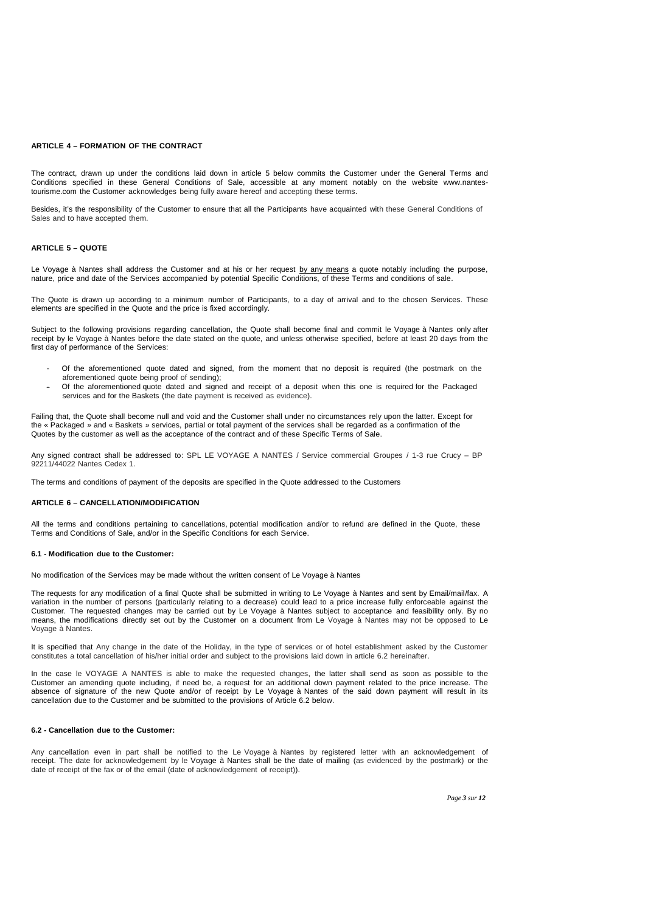#### **ARTICLE 4 – FORMATION OF THE CONTRACT**

The contract, drawn up under the conditions laid down in article 5 below commits the Customer under the General Terms and Conditions specified in these General Conditions of Sale, accessible at any moment notably on the website www.nantestourisme.com the Customer acknowledges being fully aware hereof and accepting these terms.

Besides, it's the responsibility of the Customer to ensure that all the Participants have acquainted with these General Conditions of Sales and to have accepted them.

#### **ARTICLE 5 – QUOTE**

Le Voyage à Nantes shall address the Customer and at his or her request by any means a quote notably including the purpose, nature, price and date of the Services accompanied by potential Specific Conditions, of these Terms and conditions of sale.

The Quote is drawn up according to a minimum number of Participants, to a day of arrival and to the chosen Services. These elements are specified in the Quote and the price is fixed accordingly.

Subject to the following provisions regarding cancellation, the Quote shall become final and commit le Voyage à Nantes only after receipt by le Voyage à Nantes before the date stated on the quote, and unless otherwise specified, before at least 20 days from the first day of performance of the Services:

- Of the aforementioned quote dated and signed, from the moment that no deposit is required (the postmark on the aforementioned quote being proof of sending);
- Of the aforementioned quote dated and signed and receipt of a deposit when this one is required for the Packaged services and for the Baskets (the date payment is received as evidence).

Failing that, the Quote shall become null and void and the Customer shall under no circumstances rely upon the latter. Except for the « Packaged » and « Baskets » services, partial or total payment of the services shall be regarded as a confirmation of the Quotes by the customer as well as the acceptance of the contract and of these Specific Terms of Sale.

Any signed contract shall be addressed to: SPL LE VOYAGE A NANTES / Service commercial Groupes / 1-3 rue Crucy – BP 92211/44022 Nantes Cedex 1.

The terms and conditions of payment of the deposits are specified in the Quote addressed to the Customers

# **ARTICLE 6 – CANCELLATION/MODIFICATION**

All the terms and conditions pertaining to cancellations, potential modification and/or to refund are defined in the Quote, these Terms and Conditions of Sale, and/or in the Specific Conditions for each Service.

# **6.1 - Modification due to the Customer:**

No modification of the Services may be made without the written consent of Le Voyage à Nantes

The requests for any modification of a final Quote shall be submitted in writing to Le Voyage à Nantes and sent by Email/mail/fax. A variation in the number of persons (particularly relating to a decrease) could lead to a price increase fully enforceable against the Customer. The requested changes may be carried out by Le Voyage à Nantes subject to acceptance and feasibility only. By no means, the modifications directly set out by the Customer on a document from Le Voyage à Nantes may not be opposed to Le Voyage à Nantes.

It is specified that Any change in the date of the Holiday, in the type of services or of hotel establishment asked by the Customer constitutes a total cancellation of his/her initial order and subject to the provisions laid down in article 6.2 hereinafter.

In the case le VOYAGE A NANTES is able to make the requested changes, the latter shall send as soon as possible to the Customer an amending quote including, if need be, a request for an additional down payment related to the price increase. The absence of signature of the new Quote and/or of receipt by Le Voyage à Nantes of the said down payment will result in its cancellation due to the Customer and be submitted to the provisions of Article 6.2 below.

# **6.2 - Cancellation due to the Customer:**

Any cancellation even in part shall be notified to the Le Voyage à Nantes by registered letter with an acknowledgement of receipt. The date for acknowledgement by le Voyage à Nantes shall be the date of mailing (as evidenced by the postmark) or the date of receipt of the fax or of the email (date of acknowledgement of receipt)).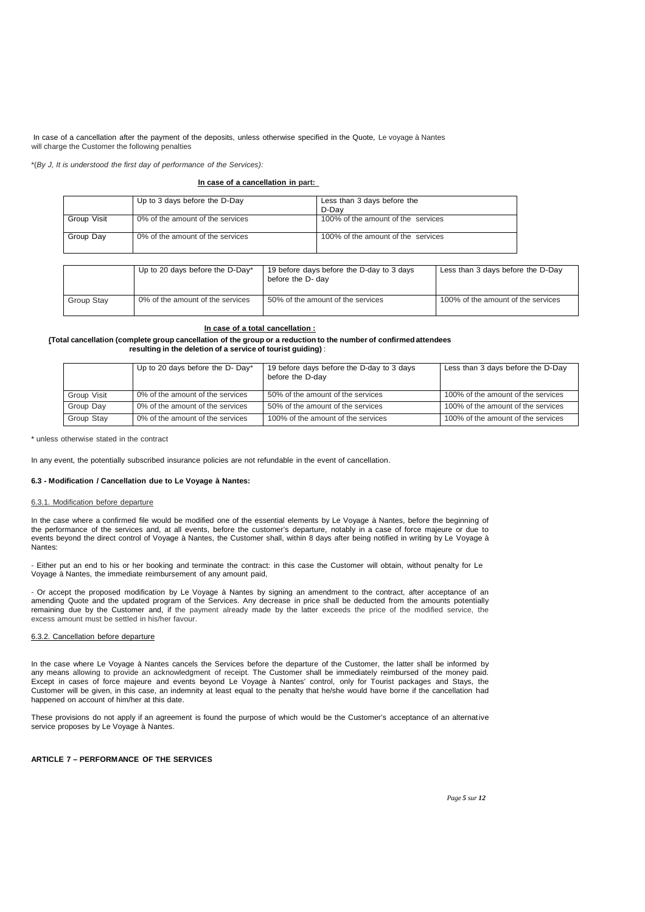In case of a cancellation after the payment of the deposits, unless otherwise specified in the Quote, Le voyage à Nantes will charge the Customer the following penalties

\*(By J, It is understood the first day of performance of the Services):

# **In case of a cancellation in part:**

|             | Up to 3 days before the D-Day    | Less than 3 days before the<br>D-Dav |  |
|-------------|----------------------------------|--------------------------------------|--|
| Group Visit | 0% of the amount of the services | 100% of the amount of the services   |  |
| Group Day   | 0% of the amount of the services | 100% of the amount of the services   |  |

|            | Up to 20 days before the D-Day*  | 19 before days before the D-day to 3 days | Less than 3 days before the D-Day  |
|------------|----------------------------------|-------------------------------------------|------------------------------------|
|            |                                  | before the D- day                         |                                    |
| Group Stay | 0% of the amount of the services | 50% of the amount of the services         | 100% of the amount of the services |

# **In case of a total cancellation :**

### **(Total cancellation (complete group cancellation of the group or a reduction to the number of confirmed attendees resulting in the deletion of a service of tourist guiding)** :

|             | Up to 20 days before the D- Day* | 19 before days before the D-day to 3 days<br>before the D-day | Less than 3 days before the D-Day  |
|-------------|----------------------------------|---------------------------------------------------------------|------------------------------------|
| Group Visit | 0% of the amount of the services | 50% of the amount of the services                             | 100% of the amount of the services |
| Group Day   | 0% of the amount of the services | 50% of the amount of the services                             | 100% of the amount of the services |
| Group Stay  | 0% of the amount of the services | 100% of the amount of the services                            | 100% of the amount of the services |

\* unless otherwise stated in the contract

In any event, the potentially subscribed insurance policies are not refundable in the event of cancellation.

# **6.3 - Modification / Cancellation due to Le Voyage à Nantes:**

## 6.3.1. Modification before departure

In the case where a confirmed file would be modified one of the essential elements by Le Voyage à Nantes, before the beginning of the performance of the services and, at all events, before the customer's departure, notably in a case of force majeure or due to events beyond the direct control of Voyage à Nantes, the Customer shall, within 8 days after being notified in writing by Le Voyage à Nantes:

- Either put an end to his or her booking and terminate the contract: in this case the Customer will obtain, without penalty for Le Voyage à Nantes, the immediate reimbursement of any amount paid,

- Or accept the proposed modification by Le Voyage à Nantes by signing an amendment to the contract, after acceptance of an amending Quote and the updated program of the Services. Any decrease in price shall be deducted from the amounts potentially remaining due by the Customer and, if the payment already made by the latter exceeds the price of the modified service, the excess amount must be settled in his/her favour.

# 6.3.2. Cancellation before departure

In the case where Le Voyage à Nantes cancels the Services before the departure of the Customer, the latter shall be informed by any means allowing to provide an acknowledgment of receipt. The Customer shall be immediately reimbursed of the money paid. Except in cases of force majeure and events beyond Le Voyage à Nantes' control, only for Tourist packages and Stays, the Customer will be given, in this case, an indemnity at least equal to the penalty that he/she would have borne if the cancellation had happened on account of him/her at this date.

These provisions do not apply if an agreement is found the purpose of which would be the Customer's acceptance of an alternative service proposes by Le Voyage à Nantes.

# **ARTICLE 7 – PERFORMANCE OF THE SERVICES**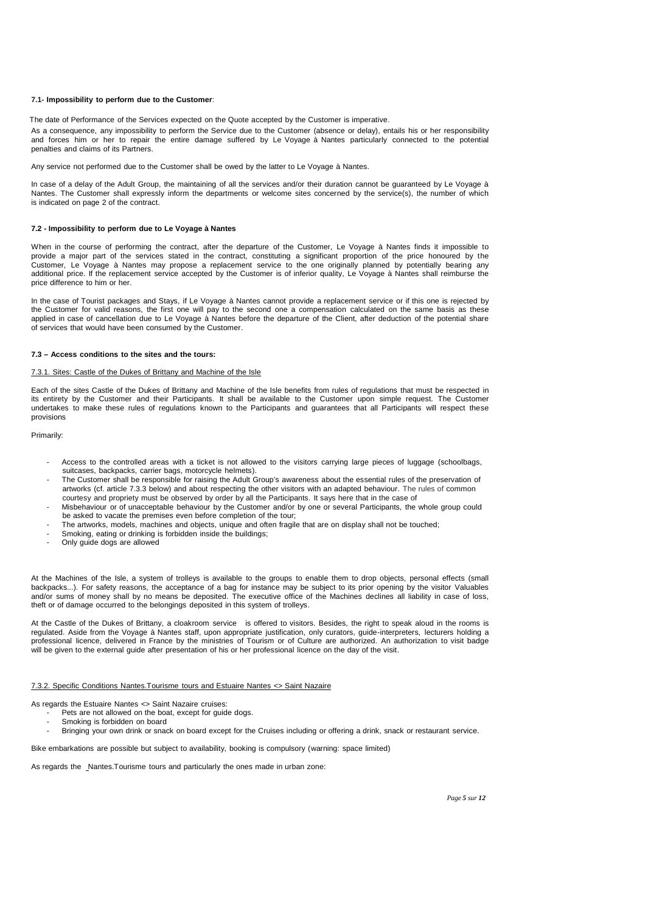## **7.1- Impossibility to perform due to the Customer**:

The date of Performance of the Services expected on the Quote accepted by the Customer is imperative.

As a consequence, any impossibility to perform the Service due to the Customer (absence or delay), entails his or her responsibility and forces him or her to repair the entire damage suffered by Le Voyage à Nantes particularly connected to the potential penalties and claims of its Partners.

Any service not performed due to the Customer shall be owed by the latter to Le Voyage à Nantes.

In case of a delay of the Adult Group, the maintaining of all the services and/or their duration cannot be guaranteed by Le Voyage à Nantes. The Customer shall expressly inform the departments or welcome sites concerned by the service(s), the number of which is indicated on page 2 of the contract.

# **7.2 - Impossibility to perform due to Le Voyage à Nantes**

When in the course of performing the contract, after the departure of the Customer, Le Voyage à Nantes finds it impossible to provide a major part of the services stated in the contract, constituting a significant proportion of the price honoured by the Customer, Le Voyage à Nantes may propose a replacement service to the one originally planned by potentially bearing any additional price. If the replacement service accepted by the Customer is of inferior quality, Le Voyage à Nantes shall reimburse the price difference to him or her.

In the case of Tourist packages and Stays, if Le Voyage à Nantes cannot provide a replacement service or if this one is rejected by the Customer for valid reasons, the first one will pay to the second one a compensation calculated on the same basis as these applied in case of cancellation due to Le Voyage à Nantes before the departure of the Client, after deduction of the potential share of services that would have been consumed by the Customer.

# **7.3 – Access conditions to the sites and the tours:**

# 7.3.1. Sites: Castle of the Dukes of Brittany and Machine of the Isle

Each of the sites Castle of the Dukes of Brittany and Machine of the Isle benefits from rules of regulations that must be respected in its entirety by the Customer and their Participants. It shall be available to the Customer upon simple request. The Customer undertakes to make these rules of regulations known to the Participants and guarantees that all Participants will respect these provisions

Primarily:

- Access to the controlled areas with a ticket is not allowed to the visitors carrying large pieces of luggage (schoolbags, suitcases, backpacks, carrier bags, motorcycle helmets).
- The Customer shall be responsible for raising the Adult Group's awareness about the essential rules of the preservation of artworks (cf. article 7.3.3 below) and about respecting the other visitors with an adapted behaviour. The rules of common courtesy and propriety must be observed by order by all the Participants. It says here that in the case of
- Misbehaviour or of unacceptable behaviour by the Customer and/or by one or several Participants, the whole group could be asked to vacate the premises even before completion of the tour;
- The artworks, models, machines and objects, unique and often fragile that are on display shall not be touched;
- Smoking, eating or drinking is forbidden inside the buildings;
- Only guide dogs are allowed

At the Machines of the Isle, a system of trolleys is available to the groups to enable them to drop objects, personal effects (small backpacks...). For safety reasons, the acceptance of a bag for instance may be subject to its prior opening by the visitor Valuables and/or sums of money shall by no means be deposited. The executive office of the Machines declines all liability in case of loss, theft or of damage occurred to the belongings deposited in this system of trolleys.

At the Castle of the Dukes of Brittany, a cloakroom service is offered to visitors. Besides, the right to speak aloud in the rooms is regulated. Aside from the Voyage à Nantes staff, upon appropriate justification, only curators, guide-interpreters, lecturers holding a professional licence, delivered in France by the ministries of Tourism or of Culture are authorized. An authorization to visit badge will be given to the external guide after presentation of his or her professional licence on the day of the visit.

#### 7.3.2. Specific Conditions Nantes.Tourisme tours and Estuaire Nantes <> Saint Nazaire

As regards the Estuaire Nantes <> Saint Nazaire cruises:

- Pets are not allowed on the boat, except for guide dogs.
	- Smoking is forbidden on board
- Bringing your own drink or snack on board except for the Cruises including or offering a drink, snack or restaurant service.

Bike embarkations are possible but subject to availability, booking is compulsory (warning: space limited)

As regards the Nantes.Tourisme tours and particularly the ones made in urban zone: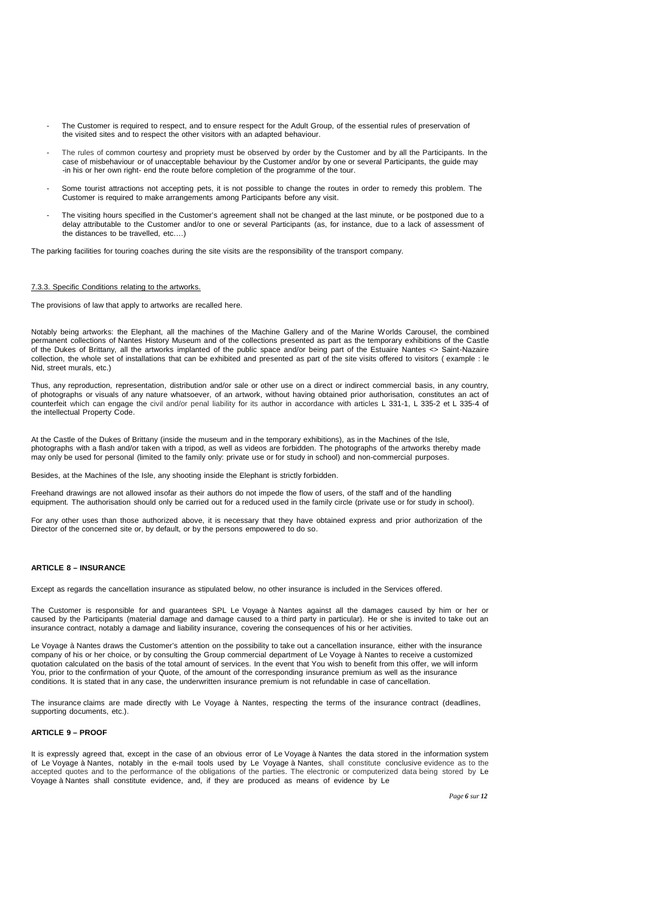- The Customer is required to respect, and to ensure respect for the Adult Group, of the essential rules of preservation of the visited sites and to respect the other visitors with an adapted behaviour.
- The rules of common courtesy and propriety must be observed by order by the Customer and by all the Participants. In the case of misbehaviour or of unacceptable behaviour by the Customer and/or by one or several Participants, the guide may -in his or her own right- end the route before completion of the programme of the tour.
- Some tourist attractions not accepting pets, it is not possible to change the routes in order to remedy this problem. The Customer is required to make arrangements among Participants before any visit.
- The visiting hours specified in the Customer's agreement shall not be changed at the last minute, or be postponed due to a delay attributable to the Customer and/or to one or several Participants (as, for instance, due to a lack of assessment of the distances to be travelled, etc.…)

The parking facilities for touring coaches during the site visits are the responsibility of the transport company.

#### 7.3.3. Specific Conditions relating to the artworks.

The provisions of law that apply to artworks are recalled here.

Notably being artworks: the Elephant, all the machines of the Machine Gallery and of the Marine Worlds Carousel, the combined permanent collections of Nantes History Museum and of the collections presented as part as the temporary exhibitions of the Castle of the Dukes of Brittany, all the artworks implanted of the public space and/or being part of the Estuaire Nantes <> Saint-Nazaire collection, the whole set of installations that can be exhibited and presented as part of the site visits offered to visitors ( example : le Nid, street murals, etc.)

Thus, any reproduction, representation, distribution and/or sale or other use on a direct or indirect commercial basis, in any country, of photographs or visuals of any nature whatsoever, of an artwork, without having obtained prior authorisation, constitutes an act of counterfeit which can engage the civil and/or penal liability for its author in accordance with articles L 331-1, L 335-2 et L 335-4 of the intellectual Property Code.

At the Castle of the Dukes of Brittany (inside the museum and in the temporary exhibitions), as in the Machines of the Isle, photographs with a flash and/or taken with a tripod, as well as videos are forbidden. The photographs of the artworks thereby made may only be used for personal (limited to the family only: private use or for study in school) and non-commercial purposes.

Besides, at the Machines of the Isle, any shooting inside the Elephant is strictly forbidden.

Freehand drawings are not allowed insofar as their authors do not impede the flow of users, of the staff and of the handling equipment. The authorisation should only be carried out for a reduced used in the family circle (private use or for study in school).

For any other uses than those authorized above, it is necessary that they have obtained express and prior authorization of the Director of the concerned site or, by default, or by the persons empowered to do so.

# **ARTICLE 8 – INSURANCE**

Except as regards the cancellation insurance as stipulated below, no other insurance is included in the Services offered.

The Customer is responsible for and guarantees SPL Le Voyage à Nantes against all the damages caused by him or her or caused by the Participants (material damage and damage caused to a third party in particular). He or she is invited to take out an insurance contract, notably a damage and liability insurance, covering the consequences of his or her activities.

Le Voyage à Nantes draws the Customer's attention on the possibility to take out a cancellation insurance, either with the insurance company of his or her choice, or by consulting the Group commercial department of Le Voyage à Nantes to receive a customized quotation calculated on the basis of the total amount of services. In the event that You wish to benefit from this offer, we will inform You, prior to the confirmation of your Quote, of the amount of the corresponding insurance premium as well as the insurance conditions. It is stated that in any case, the underwritten insurance premium is not refundable in case of cancellation.

The insurance claims are made directly with Le Voyage à Nantes, respecting the terms of the insurance contract (deadlines, supporting documents, etc.).

## **ARTICLE 9 – PROOF**

It is expressly agreed that, except in the case of an obvious error of Le Voyage à Nantes the data stored in the information system of Le Voyage à Nantes, notably in the e-mail tools used by Le Voyage à Nantes, shall constitute conclusive evidence as to the accepted quotes and to the performance of the obligations of the parties. The electronic or computerized data being stored by Le Voyage à Nantes shall constitute evidence, and, if they are produced as means of evidence by Le

*Page 6 sur 12*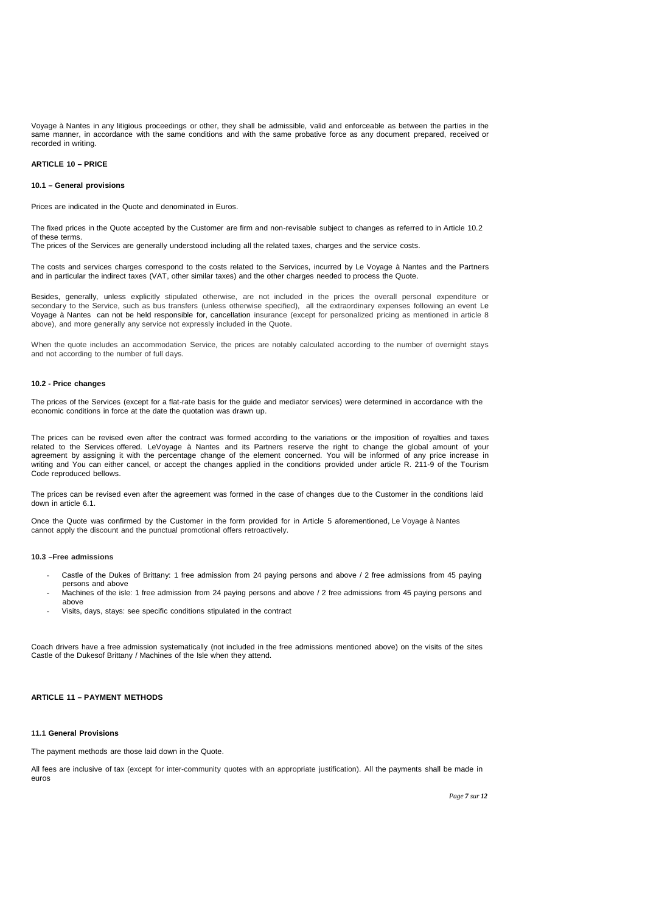Voyage à Nantes in any litigious proceedings or other, they shall be admissible, valid and enforceable as between the parties in the same manner, in accordance with the same conditions and with the same probative force as any document prepared, received or recorded in writing.

# **ARTICLE 10 – PRICE**

# **10.1 – General provisions**

Prices are indicated in the Quote and denominated in Euros.

The fixed prices in the Quote accepted by the Customer are firm and non-revisable subject to changes as referred to in Article 10.2 of these terms.

The prices of the Services are generally understood including all the related taxes, charges and the service costs.

The costs and services charges correspond to the costs related to the Services, incurred by Le Voyage à Nantes and the Partners and in particular the indirect taxes (VAT, other similar taxes) and the other charges needed to process the Quote.

Besides, generally, unless explicitly stipulated otherwise, are not included in the prices the overall personal expenditure or secondary to the Service, such as bus transfers (unless otherwise specified), all the extraordinary expenses following an event Le Voyage à Nantes can not be held responsible for, cancellation insurance (except for personalized pricing as mentioned in article 8 above), and more generally any service not expressly included in the Quote.

When the quote includes an accommodation Service, the prices are notably calculated according to the number of overnight stays and not according to the number of full days.

### **10.2 - Price changes**

The prices of the Services (except for a flat-rate basis for the guide and mediator services) were determined in accordance with the economic conditions in force at the date the quotation was drawn up.

The prices can be revised even after the contract was formed according to the variations or the imposition of royalties and taxes related to the Services offered. LeVoyage à Nantes and its Partners reserve the right to change the global amount of your agreement by assigning it with the percentage change of the element concerned. You will be informed of any price increase in writing and You can either cancel, or accept the changes applied in the conditions provided under article R. 211-9 of the Tourism Code reproduced bellows.

The prices can be revised even after the agreement was formed in the case of changes due to the Customer in the conditions laid down in article 6.1.

Once the Quote was confirmed by the Customer in the form provided for in Article 5 aforementioned, Le Voyage à Nantes cannot apply the discount and the punctual promotional offers retroactively.

### **10.3 –Free admissions**

- Castle of the Dukes of Brittany: 1 free admission from 24 paying persons and above / 2 free admissions from 45 paying persons and above
- Machines of the isle: 1 free admission from 24 paying persons and above / 2 free admissions from 45 paying persons and above
- Visits, days, stays: see specific conditions stipulated in the contract

Coach drivers have a free admission systematically (not included in the free admissions mentioned above) on the visits of the sites Castle of the Dukesof Brittany / Machines of the Isle when they attend.

# **ARTICLE 11 – PAYMENT METHODS**

# **11.1 General Provisions**

The payment methods are those laid down in the Quote.

All fees are inclusive of tax (except for inter-community quotes with an appropriate justification). All the payments shall be made in euros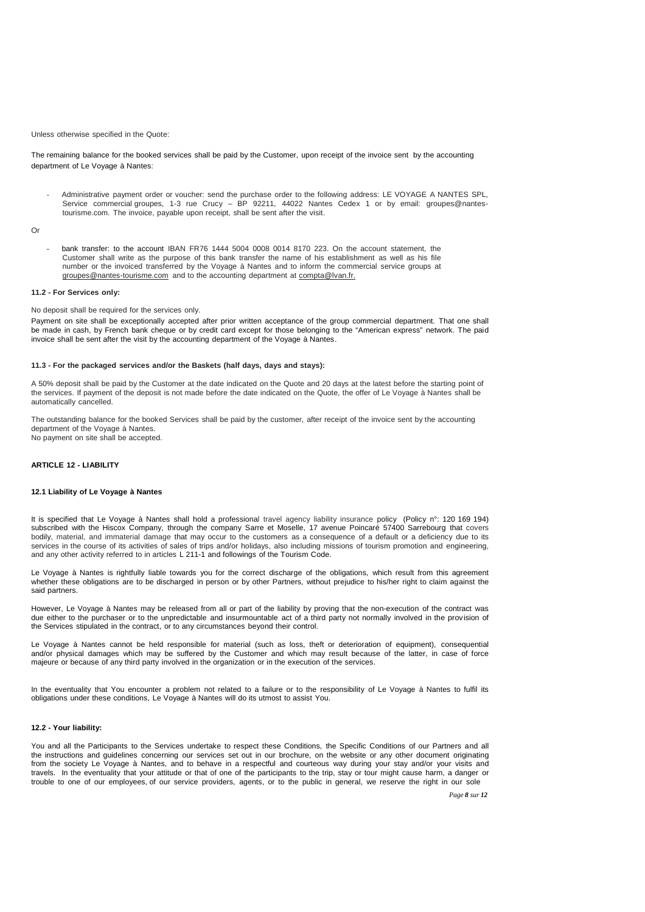#### Unless otherwise specified in the Quote:

The remaining balance for the booked services shall be paid by the Customer, upon receipt of the invoice sent by the accounting department of Le Voyage à Nantes:

- Administrative payment order or voucher: send the purchase order to the following address: LE VOYAGE A NANTES SPL, Service commercial groupes, 1-3 rue Crucy – BP 92211, 44022 Nantes Cedex 1 or by email: groupes@nantestourisme.com. The invoice, payable upon receipt, shall be sent after the visit.

Or

bank transfer: to the account IBAN FR76 1444 5004 0008 0014 8170 223. On the account statement, the Customer shall write as the purpose of this bank transfer the name of his establishment as well as his file number or the invoiced transferred by the Voyage à Nantes and to inform the commercial service groups at groupes@nantes-tourisme.com and to the accounting department at compta@lvan.fr.

### **11.2 - For Services only:**

No deposit shall be required for the services only.

Payment on site shall be exceptionally accepted after prior written acceptance of the group commercial department. That one shall be made in cash, by French bank cheque or by credit card except for those belonging to the "American express" network. The paid invoice shall be sent after the visit by the accounting department of the Voyage à Nantes.

## **11.3 - For the packaged services and/or the Baskets (half days, days and stays):**

A 50% deposit shall be paid by the Customer at the date indicated on the Quote and 20 days at the latest before the starting point of the services. If payment of the deposit is not made before the date indicated on the Quote, the offer of Le Voyage à Nantes shall be automatically cancelled.

The outstanding balance for the booked Services shall be paid by the customer, after receipt of the invoice sent by the accounting department of the Voyage à Nantes. No payment on site shall be accepted.

# **ARTICLE 12 - LIABILITY**

# **12.1 Liability of Le Voyage à Nantes**

It is specified that Le Voyage à Nantes shall hold a professional travel agency liability insurance policy (Policy n°: 120 169 194) subscribed with the Hiscox Company, through the company Sarre et Moselle, 17 avenue Poincaré 57400 Sarrebourg that covers bodily, material, and immaterial damage that may occur to the customers as a consequence of a default or a deficiency due to its services in the course of its activities of sales of trips and/or holidays, also including missions of tourism promotion and engineering, and any other activity referred to in articles L 211-1 and followings of the Tourism Code.

Le Voyage à Nantes is rightfully liable towards you for the correct discharge of the obligations, which result from this agreement whether these obligations are to be discharged in person or by other Partners, without prejudice to his/her right to claim against the said partners.

However, Le Voyage à Nantes may be released from all or part of the liability by proving that the non-execution of the contract was due either to the purchaser or to the unpredictable and insurmountable act of a third party not normally involved in the provision of the Services stipulated in the contract, or to any circumstances beyond their control.

Le Voyage à Nantes cannot be held responsible for material (such as loss, theft or deterioration of equipment), consequential and/or physical damages which may be suffered by the Customer and which may result because of the latter, in case of force majeure or because of any third party involved in the organization or in the execution of the services.

In the eventuality that You encounter a problem not related to a failure or to the responsibility of Le Voyage à Nantes to fulfil its obligations under these conditions, Le Voyage à Nantes will do its utmost to assist You.

## **12.2 - Your liability:**

You and all the Participants to the Services undertake to respect these Conditions, the Specific Conditions of our Partners and all the instructions and guidelines concerning our services set out in our brochure, on the website or any other document originating from the society Le Voyage à Nantes, and to behave in a respectful and courteous way during your stay and/or your visits and travels. In the eventuality that your attitude or that of one of the participants to the trip, stay or tour might cause harm, a danger or trouble to one of our employees, of our service providers, agents, or to the public in general, we reserve the right in our sole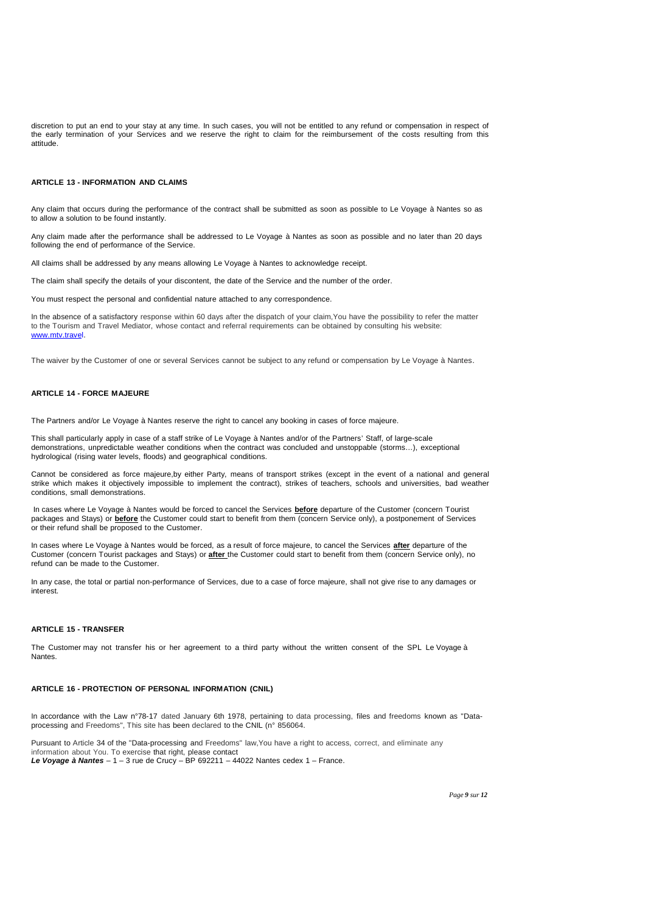discretion to put an end to your stay at any time. In such cases, you will not be entitled to any refund or compensation in respect of the early termination of your Services and we reserve the right to claim for the reimbursement of the costs resulting from this attitude.

# **ARTICLE 13 - INFORMATION AND CLAIMS**

Any claim that occurs during the performance of the contract shall be submitted as soon as possible to Le Voyage à Nantes so as to allow a solution to be found instantly.

Any claim made after the performance shall be addressed to Le Voyage à Nantes as soon as possible and no later than 20 days following the end of performance of the Service.

All claims shall be addressed by any means allowing Le Voyage à Nantes to acknowledge receipt.

The claim shall specify the details of your discontent, the date of the Service and the number of the order.

You must respect the personal and confidential nature attached to any correspondence.

In the absence of a satisfactory response within 60 days after the dispatch of your claim,You have the possibility to refer the matter to the Tourism and Travel Mediator, whose contact and referral requirements can be obtained by consulting his website: www.mtv.travel.

The waiver by the Customer of one or several Services cannot be subject to any refund or compensation by Le Voyage à Nantes.

# **ARTICLE 14 - FORCE MAJEURE**

The Partners and/or Le Voyage à Nantes reserve the right to cancel any booking in cases of force majeure.

This shall particularly apply in case of a staff strike of Le Voyage à Nantes and/or of the Partners' Staff, of large-scale demonstrations, unpredictable weather conditions when the contract was concluded and unstoppable (storms…), exceptional hydrological (rising water levels, floods) and geographical conditions.

Cannot be considered as force majeure,by either Party, means of transport strikes (except in the event of a national and general strike which makes it objectively impossible to implement the contract), strikes of teachers, schools and universities, bad weather conditions, small demonstrations.

In cases where Le Voyage à Nantes would be forced to cancel the Services **before** departure of the Customer (concern Tourist packages and Stays) or **before** the Customer could start to benefit from them (concern Service only), a postponement of Services or their refund shall be proposed to the Customer.

In cases where Le Voyage à Nantes would be forced, as a result of force majeure, to cancel the Services **after** departure of the Customer (concern Tourist packages and Stays) or **after** the Customer could start to benefit from them (concern Service only), no refund can be made to the Customer.

In any case, the total or partial non-performance of Services, due to a case of force majeure, shall not give rise to any damages or interest.

### **ARTICLE 15 - TRANSFER**

The Customer may not transfer his or her agreement to a third party without the written consent of the SPL Le Voyage à Nantes.

#### **ARTICLE 16 - PROTECTION OF PERSONAL INFORMATION (CNIL)**

In accordance with the Law n°78-17 dated January 6th 1978, pertaining to data processing, files and freedoms known as "Dataprocessing and Freedoms", This site has been declared to the CNIL (n° 856064.

Pursuant to Article 34 of the "Data-processing and Freedoms" law, You have a right to access, correct, and eliminate any information about You. To exercise that right, please contact **Le Voyage à Nantes** – 1 – 3 rue de Crucy – BP 692211 – 44022 Nantes cedex 1 – France.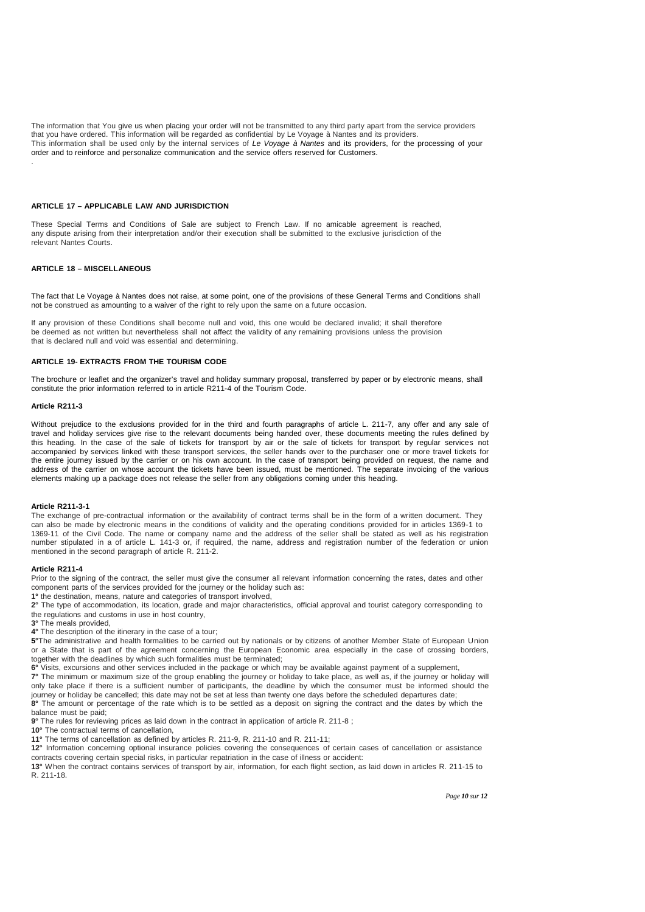The information that You give us when placing your order will not be transmitted to any third party apart from the service providers that you have ordered. This information will be regarded as confidential by Le Voyage à Nantes and its providers. This information shall be used only by the internal services of Le Voyage à Nantes and its providers, for the processing of your order and to reinforce and personalize communication and the service offers reserved for Customers.

# **ARTICLE 17 – APPLICABLE LAW AND JURISDICTION**

These Special Terms and Conditions of Sale are subject to French Law. If no amicable agreement is reached, any dispute arising from their interpretation and/or their execution shall be submitted to the exclusive jurisdiction of the relevant Nantes Courts.

# **ARTICLE 18 – MISCELLANEOUS**

The fact that Le Voyage à Nantes does not raise, at some point, one of the provisions of these General Terms and Conditions shall not be construed as amounting to a waiver of the right to rely upon the same on a future occasion.

If any provision of these Conditions shall become null and void, this one would be declared invalid; it shall therefore be deemed as not written but nevertheless shall not affect the validity of any remaining provisions unless the provision that is declared null and void was essential and determining.

#### **ARTICLE 19- EXTRACTS FROM THE TOURISM CODE**

The brochure or leaflet and the organizer's travel and holiday summary proposal, transferred by paper or by electronic means, shall constitute the prior information referred to in article R211-4 of the Tourism Code.

### **Article R211-3**

.

Without prejudice to the exclusions provided for in the third and fourth paragraphs of article L. 211-7, any offer and any sale of travel and holiday services give rise to the relevant documents being handed over, these documents meeting the rules defined by this heading. In the case of the sale of tickets for transport by air or the sale of tickets for transport by regular services not accompanied by services linked with these transport services, the seller hands over to the purchaser one or more travel tickets for the entire journey issued by the carrier or on his own account. In the case of transport being provided on request, the name and address of the carrier on whose account the tickets have been issued, must be mentioned. The separate invoicing of the various elements making up a package does not release the seller from any obligations coming under this heading.

#### **Article R211-3-1**

The exchange of pre-contractual information or the availability of contract terms shall be in the form of a written document. They can also be made by electronic means in the conditions of validity and the operating conditions provided for in articles 1369-1 to 1369-11 of the Civil Code. The name or company name and the address of the seller shall be stated as well as his registration number stipulated in a of article L. 141-3 or, if required, the name, address and registration number of the federation or union mentioned in the second paragraph of article R. 211-2.

#### **Article R211-4**

Prior to the signing of the contract, the seller must give the consumer all relevant information concerning the rates, dates and other component parts of the services provided for the journey or the holiday such as:

**1°** the destination, means, nature and categories of transport involved,

**2°** The type of accommodation, its location, grade and major characteristics, official approval and tourist category corresponding to the regulations and customs in use in host country,

**3°** The meals provided,

**4°** The description of the itinerary in the case of a tour;

**5°**The administrative and health formalities to be carried out by nationals or by citizens of another Member State of European Union or a State that is part of the agreement concerning the European Economic area especially in the case of crossing borders, together with the deadlines by which such formalities must be terminated;

**6°** Visits, excursions and other services included in the package or which may be available against payment of a supplement,

**7°** The minimum or maximum size of the group enabling the journey or holiday to take place, as well as, if the journey or holiday will only take place if there is a sufficient number of participants, the deadline by which the consumer must be informed should the journey or holiday be cancelled; this date may not be set at less than twenty one days before the scheduled departures date; **8°** The amount or percentage of the rate which is to be settled as a deposit on signing the contract and the dates by which the balance must be paid;

**9°** The rules for reviewing prices as laid down in the contract in application of article R. 211-8 ;

10° The contractual terms of cancellation,

**11°** The terms of cancellation as defined by articles R. 211-9, R. 211-10 and R. 211-11;

**12°** Information concerning optional insurance policies covering the consequences of certain cases of cancellation or assistance contracts covering certain special risks, in particular repatriation in the case of illness or accident:

**13°** When the contract contains services of transport by air, information, for each flight section, as laid down in articles R. 211-15 to R. 211-18.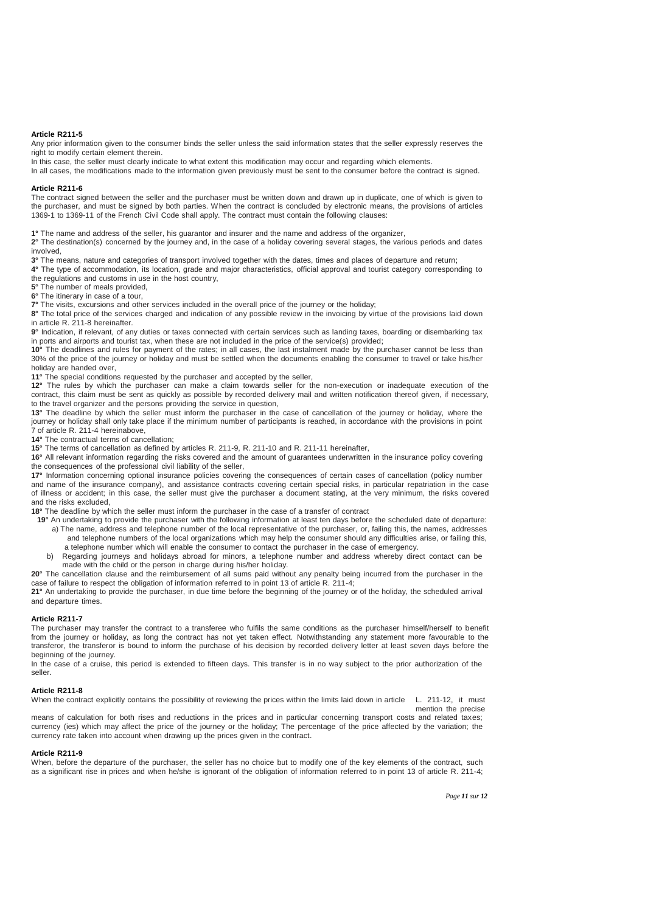## **Article R211-5**

Any prior information given to the consumer binds the seller unless the said information states that the seller expressly reserves the right to modify certain element therein.

In this case, the seller must clearly indicate to what extent this modification may occur and regarding which elements.

In all cases, the modifications made to the information given previously must be sent to the consumer before the contract is signed.

#### **Article R211-6**

The contract signed between the seller and the purchaser must be written down and drawn up in duplicate, one of which is given to the purchaser, and must be signed by both parties. When the contract is concluded by electronic means, the provisions of articles 1369-1 to 1369-11 of the French Civil Code shall apply. The contract must contain the following clauses:

**1°** The name and address of the seller, his guarantor and insurer and the name and address of the organizer,

**2°** The destination(s) concerned by the journey and, in the case of a holiday covering several stages, the various periods and dates involved,

**3°** The means, nature and categories of transport involved together with the dates, times and places of departure and return;

**4°** The type of accommodation, its location, grade and major characteristics, official approval and tourist category corresponding to the regulations and customs in use in the host country,

**5°** The number of meals provided,

**6°** The itinerary in case of a tour,

**7°** The visits, excursions and other services included in the overall price of the journey or the holiday;

**8°** The total price of the services charged and indication of any possible review in the invoicing by virtue of the provisions laid down in article R. 211-8 hereinafter.

**9°** Indication, if relevant, of any duties or taxes connected with certain services such as landing taxes, boarding or disembarking tax in ports and airports and tourist tax, when these are not included in the price of the service(s) provided;

**10°** The deadlines and rules for payment of the rates; in all cases, the last instalment made by the purchaser cannot be less than 30% of the price of the journey or holiday and must be settled when the documents enabling the consumer to travel or take his/her holiday are handed over

**11°** The special conditions requested by the purchaser and accepted by the seller,

**12°** The rules by which the purchaser can make a claim towards seller for the non-execution or inadequate execution of the contract, this claim must be sent as quickly as possible by recorded delivery mail and written notification thereof given, if necessary, to the travel organizer and the persons providing the service in question,

**13°** The deadline by which the seller must inform the purchaser in the case of cancellation of the journey or holiday, where the journey or holiday shall only take place if the minimum number of participants is reached, in accordance with the provisions in point 7 of article R. 211-4 hereinabove,

**14°** The contractual terms of cancellation;

**15°** The terms of cancellation as defined by articles R. 211-9, R. 211-10 and R. 211-11 hereinafter,

**16°** All relevant information regarding the risks covered and the amount of guarantees underwritten in the insurance policy covering the consequences of the professional civil liability of the seller,

**17°** Information concerning optional insurance policies covering the consequences of certain cases of cancellation (policy number and name of the insurance company), and assistance contracts covering certain special risks, in particular repatriation in the case of illness or accident; in this case, the seller must give the purchaser a document stating, at the very minimum, the risks covered and the risks excluded,

**18°** The deadline by which the seller must inform the purchaser in the case of a transfer of contract

- **19°** An undertaking to provide the purchaser with the following information at least ten days before the scheduled date of departure: a) The name, address and telephone number of the local representative of the purchaser, or, failing this, the names, addresses and telephone numbers of the local organizations which may help the consumer should any difficulties arise, or failing this, a telephone number which will enable the consumer to contact the purchaser in the case of emergency.
	- b) Regarding journeys and holidays abroad for minors, a telephone number and address whereby direct contact can be made with the child or the person in charge during his/her holiday.

**20°** The cancellation clause and the reimbursement of all sums paid without any penalty being incurred from the purchaser in the case of failure to respect the obligation of information referred to in point 13 of article R. 211-4;

**21°** An undertaking to provide the purchaser, in due time before the beginning of the journey or of the holiday, the scheduled arrival and departure times.

### **Article R211-7**

The purchaser may transfer the contract to a transferee who fulfils the same conditions as the purchaser himself/herself to benefit from the journey or holiday, as long the contract has not yet taken effect. Notwithstanding any statement more favourable to the transferor, the transferor is bound to inform the purchase of his decision by recorded delivery letter at least seven days before the beginning of the journey.

In the case of a cruise, this period is extended to fifteen days. This transfer is in no way subject to the prior authorization of the seller.

## **Article R211-8**

When the contract explicitly contains the possibility of reviewing the prices within the limits laid down in article L. 211-12, it must mention the precise

means of calculation for both rises and reductions in the prices and in particular concerning transport costs and related taxes; currency (ies) which may affect the price of the journey or the holiday; The percentage of the price affected by the variation; the currency rate taken into account when drawing up the prices given in the contract.

# **Article R211-9**

When, before the departure of the purchaser, the seller has no choice but to modify one of the key elements of the contract, such as a significant rise in prices and when he/she is ignorant of the obligation of information referred to in point 13 of article R. 211-4;